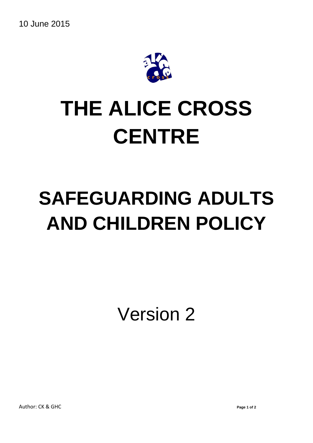

## **THE ALICE CROSS CENTRE**

## **SAFEGUARDING ADULTS AND CHILDREN POLICY**

Version 2

Author: CK & GHC **Page 1 of 2**